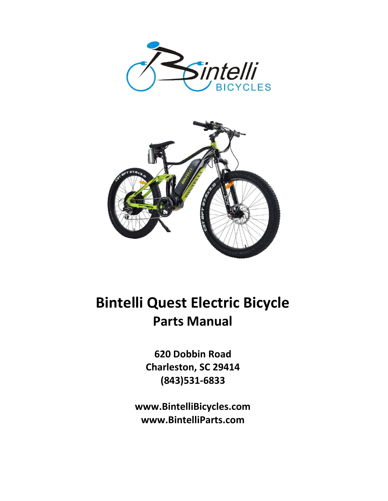



## **Bintelli Quest Electric Bicycle Parts Manual**

**620 Dobbin Road Charleston, SC 29414 (843)531-6833**

**www.BintelliBicycles.com www.BintelliParts.com**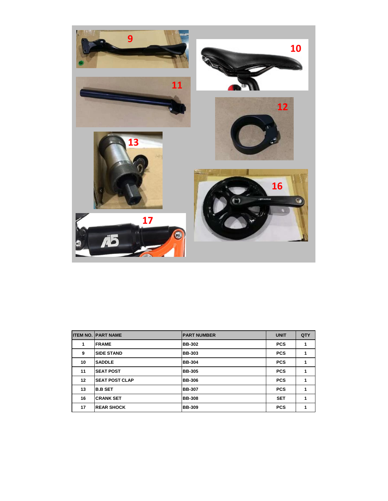

|    | <b>ITEM NO. PART NAME</b> | <b>PART NUMBER</b> | <b>UNIT</b> | QTY |
|----|---------------------------|--------------------|-------------|-----|
| 1  | <b>FRAME</b>              | <b>BB-302</b>      | <b>PCS</b>  | 1   |
| 9  | <b>SIDE STAND</b>         | <b>BB-303</b>      | <b>PCS</b>  | 1   |
| 10 | <b>SADDLE</b>             | <b>BB-304</b>      | <b>PCS</b>  | 1   |
| 11 | <b>SEAT POST</b>          | <b>BB-305</b>      | <b>PCS</b>  | 1   |
| 12 | <b>SEAT POST CLAP</b>     | <b>BB-306</b>      | <b>PCS</b>  | 1   |
| 13 | <b>B.B SET</b>            | <b>BB-307</b>      | <b>PCS</b>  | 1   |
| 16 | <b>CRANK SET</b>          | <b>BB-308</b>      | <b>SET</b>  | 1   |
| 17 | <b>REAR SHOCK</b>         | <b>BB-309</b>      | <b>PCS</b>  | 4   |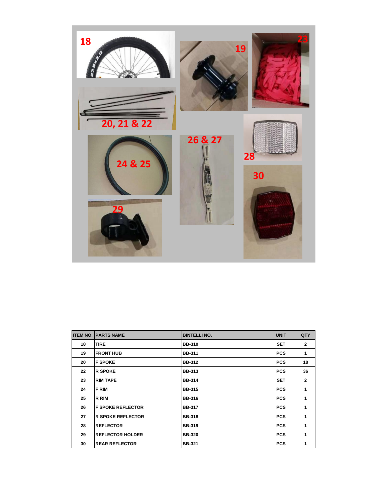

| <b>ITEM NO.</b> | <b>PARTS NAME</b>        | <b>BINTELLI NO.</b> | <b>UNIT</b> | QTY            |
|-----------------|--------------------------|---------------------|-------------|----------------|
| 18              | <b>TIRE</b>              | <b>BB-310</b>       | <b>SET</b>  | $\overline{2}$ |
| 19              | <b>FRONT HUB</b>         | <b>BB-311</b>       | <b>PCS</b>  | 1              |
| 20              | <b>F SPOKE</b>           | <b>BB-312</b>       | <b>PCS</b>  | 18             |
| 22              | <b>R SPOKE</b>           | <b>BB-313</b>       | <b>PCS</b>  | 36             |
| 23              | <b>RIM TAPE</b>          | <b>BB-314</b>       | <b>SET</b>  | $\mathbf{2}$   |
| 24              | <b>FRIM</b>              | <b>BB-315</b>       | <b>PCS</b>  | 1              |
| 25              | <b>R RIM</b>             | <b>BB-316</b>       | <b>PCS</b>  | 1              |
| 26              | <b>F SPOKE REFLECTOR</b> | <b>BB-317</b>       | <b>PCS</b>  | 1              |
| 27              | <b>R SPOKE REFLECTOR</b> | <b>BB-318</b>       | <b>PCS</b>  | 1              |
| 28              | <b>REFLECTOR</b>         | <b>BB-319</b>       | <b>PCS</b>  | 1              |
| 29              | <b>REFLECTOR HOLDER</b>  | <b>BB-320</b>       | <b>PCS</b>  | 1              |
| 30              | <b>REAR REFLECTOR</b>    | <b>BB-321</b>       | <b>PCS</b>  | 1              |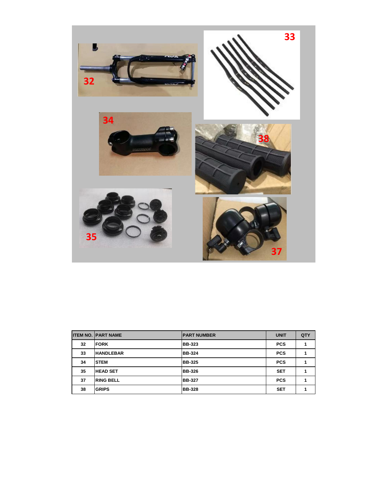

|    | <b>ITEM NO. PART NAME</b> | <b>PART NUMBER</b> | <b>UNIT</b> | QTY |
|----|---------------------------|--------------------|-------------|-----|
| 32 | <b>FORK</b>               | <b>BB-323</b>      | <b>PCS</b>  |     |
| 33 | <b>HANDLEBAR</b>          | <b>BB-324</b>      | <b>PCS</b>  |     |
| 34 | <b>STEM</b>               | <b>BB-325</b>      | <b>PCS</b>  |     |
| 35 | <b>HEAD SET</b>           | <b>BB-326</b>      | <b>SET</b>  |     |
| 37 | <b>RING BELL</b>          | <b>BB-327</b>      | <b>PCS</b>  |     |
| 38 | <b>GRIPS</b>              | <b>BB-328</b>      | <b>SET</b>  |     |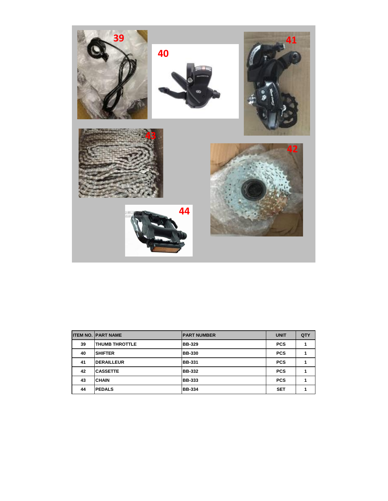

|    | <b>ITEM NO. PART NAME</b> | <b>IPART NUMBER</b> | <b>UNIT</b> | QTY |
|----|---------------------------|---------------------|-------------|-----|
| 39 | <b>ITHUMB THROTTLE</b>    | <b>BB-329</b>       | <b>PCS</b>  |     |
| 40 | <b>SHIFTER</b>            | <b>BB-330</b>       | <b>PCS</b>  |     |
| 41 | <b>DERAILLEUR</b>         | <b>BB-331</b>       | <b>PCS</b>  |     |
| 42 | <b>CASSETTE</b>           | <b>BB-332</b>       | <b>PCS</b>  |     |
| 43 | <b>CHAIN</b>              | <b>BB-333</b>       | <b>PCS</b>  |     |
| 44 | <b>PEDALS</b>             | <b>BB-334</b>       | <b>SET</b>  |     |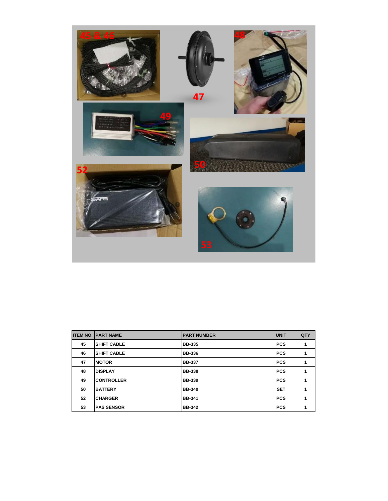

|    | <b>ITEM NO. PART NAME</b> | <b>PART NUMBER</b> | <b>UNIT</b> | QTY |
|----|---------------------------|--------------------|-------------|-----|
| 45 | <b>SHIFT CABLE</b>        | <b>BB-335</b>      | <b>PCS</b>  | 1   |
| 46 | <b>SHIFT CABLE</b>        | <b>BB-336</b>      | <b>PCS</b>  | 1   |
| 47 | <b>MOTOR</b>              | <b>BB-337</b>      | <b>PCS</b>  | 1   |
| 48 | <b>DISPLAY</b>            | <b>BB-338</b>      | <b>PCS</b>  | 1   |
| 49 | <b>CONTROLLER</b>         | <b>BB-339</b>      | <b>PCS</b>  | 1   |
| 50 | <b>BATTERY</b>            | <b>BB-340</b>      | <b>SET</b>  | 1   |
| 52 | <b>CHARGER</b>            | <b>BB-341</b>      | <b>PCS</b>  | 1   |
| 53 | <b>PAS SENSOR</b>         | <b>BB-342</b>      | <b>PCS</b>  | 4   |